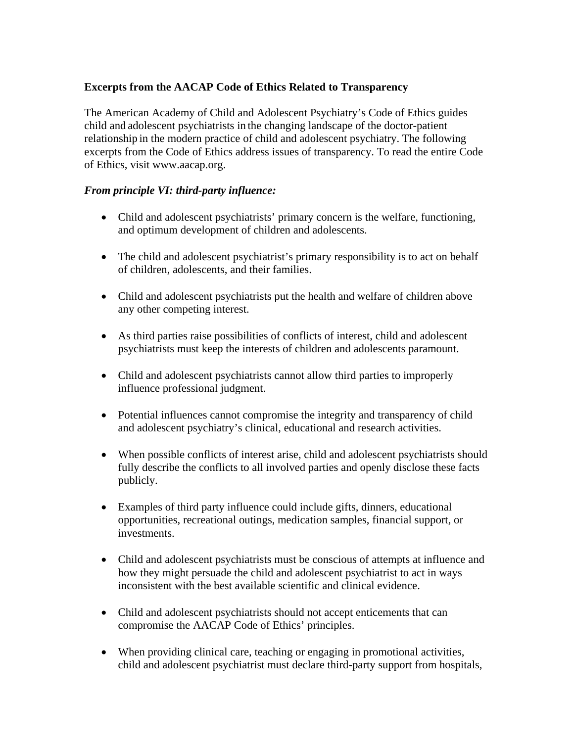# **Excerpts from the AACAP Code of Ethics Related to Transparency**

The American Academy of Child and Adolescent Psychiatry's Code of Ethics guides child and adolescent psychiatrists in the changing landscape of the doctor-patient relationship in the modern practice of child and adolescent psychiatry. The following excerpts from the Code of Ethics address issues of transparency. To read the entire Code of Ethics, visit www.aacap.org.

## *From principle VI: third-party influence:*

- Child and adolescent psychiatrists' primary concern is the welfare, functioning, and optimum development of children and adolescents.
- The child and adolescent psychiatrist's primary responsibility is to act on behalf of children, adolescents, and their families.
- Child and adolescent psychiatrists put the health and welfare of children above any other competing interest.
- As third parties raise possibilities of conflicts of interest, child and adolescent psychiatrists must keep the interests of children and adolescents paramount.
- Child and adolescent psychiatrists cannot allow third parties to improperly influence professional judgment.
- Potential influences cannot compromise the integrity and transparency of child and adolescent psychiatry's clinical, educational and research activities.
- When possible conflicts of interest arise, child and adolescent psychiatrists should fully describe the conflicts to all involved parties and openly disclose these facts publicly.
- Examples of third party influence could include gifts, dinners, educational opportunities, recreational outings, medication samples, financial support, or investments.
- Child and adolescent psychiatrists must be conscious of attempts at influence and how they might persuade the child and adolescent psychiatrist to act in ways inconsistent with the best available scientific and clinical evidence.
- Child and adolescent psychiatrists should not accept enticements that can compromise the AACAP Code of Ethics' principles.
- When providing clinical care, teaching or engaging in promotional activities, child and adolescent psychiatrist must declare third-party support from hospitals,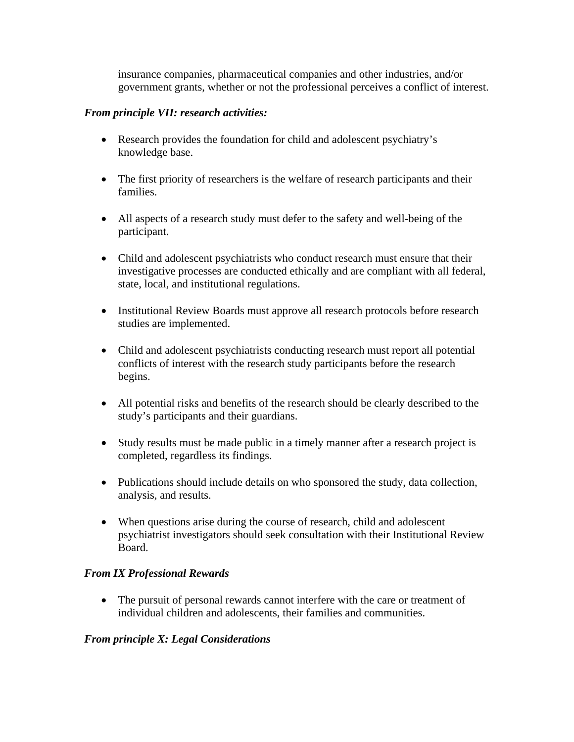insurance companies, pharmaceutical companies and other industries, and/or government grants, whether or not the professional perceives a conflict of interest.

### *From principle VII: research activities:*

- Research provides the foundation for child and adolescent psychiatry's knowledge base.
- The first priority of researchers is the welfare of research participants and their families.
- All aspects of a research study must defer to the safety and well-being of the participant.
- Child and adolescent psychiatrists who conduct research must ensure that their investigative processes are conducted ethically and are compliant with all federal, state, local, and institutional regulations.
- Institutional Review Boards must approve all research protocols before research studies are implemented.
- Child and adolescent psychiatrists conducting research must report all potential conflicts of interest with the research study participants before the research begins.
- All potential risks and benefits of the research should be clearly described to the study's participants and their guardians.
- Study results must be made public in a timely manner after a research project is completed, regardless its findings.
- Publications should include details on who sponsored the study, data collection, analysis, and results.
- When questions arise during the course of research, child and adolescent psychiatrist investigators should seek consultation with their Institutional Review Board.

## *From IX Professional Rewards*

• The pursuit of personal rewards cannot interfere with the care or treatment of individual children and adolescents, their families and communities.

## *From principle X: Legal Considerations*